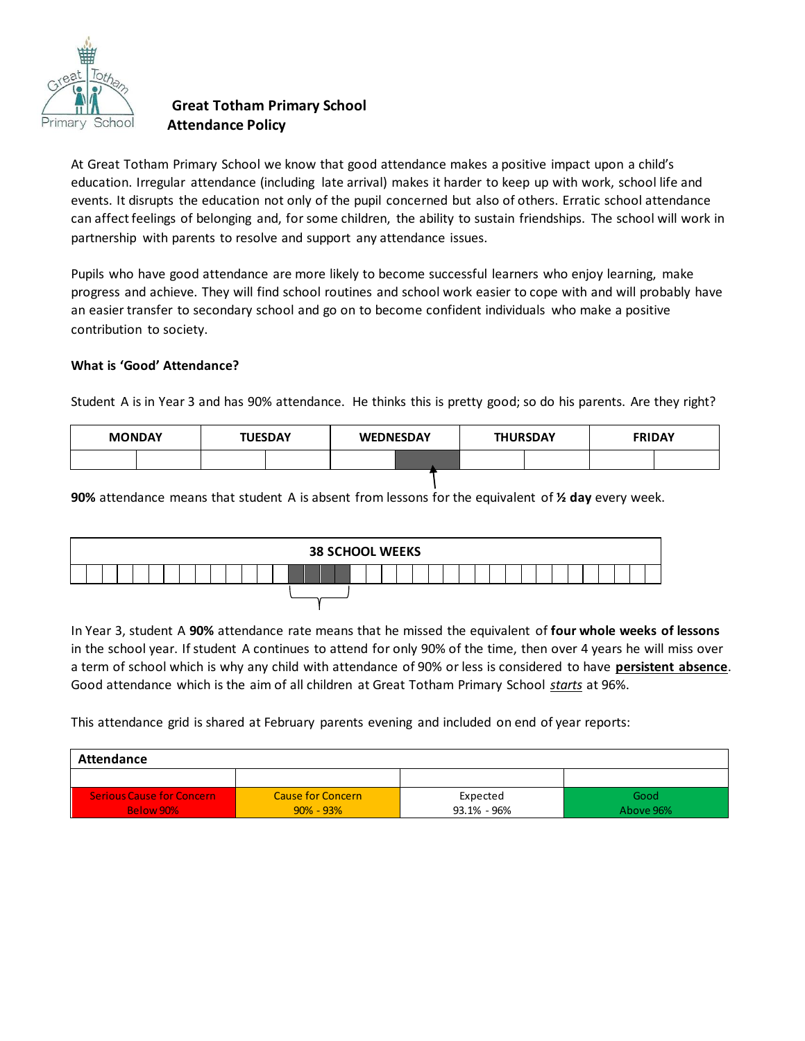

# **Great Totham Primary School Attendance Policy**

At Great Totham Primary School we know that good attendance makes a positive impact upon a child's education. Irregular attendance (including late arrival) makes it harder to keep up with work, school life and events. It disrupts the education not only of the pupil concerned but also of others. Erratic school attendance can affect feelings of belonging and, for some children, the ability to sustain friendships. The school will work in partnership with parents to resolve and support any attendance issues.

Pupils who have good attendance are more likely to become successful learners who enjoy learning, make progress and achieve. They will find school routines and school work easier to cope with and will probably have an easier transfer to secondary school and go on to become confident individuals who make a positive contribution to society.

## **What is 'Good' Attendance?**

Student A is in Year 3 and has 90% attendance. He thinks this is pretty good; so do his parents. Are they right?

| <b>MONDAY</b> | <b>TUESDAY</b> | <b>WEDNESDAY</b> | <b>THURSDAY</b> | <b>FRIDAY</b> |
|---------------|----------------|------------------|-----------------|---------------|
|               |                |                  |                 |               |

**90%** attendance means that student A is absent from lessons for the equivalent of **½ day** every week.

|  |  |  |  |  |  |  |  |  |  |  |  | <b>38 SCHOOL WEEKS</b> |  |  |  |  |  |  |  |  |
|--|--|--|--|--|--|--|--|--|--|--|--|------------------------|--|--|--|--|--|--|--|--|
|  |  |  |  |  |  |  |  |  |  |  |  |                        |  |  |  |  |  |  |  |  |
|  |  |  |  |  |  |  |  |  |  |  |  |                        |  |  |  |  |  |  |  |  |

In Year 3, student A **90%** attendance rate means that he missed the equivalent of **four whole weeks of lessons** in the school year. If student A continues to attend for only 90% of the time, then over 4 years he will miss over a term of school which is why any child with attendance of 90% or less is considered to have **persistent absence**. Good attendance which is the aim of all children at Great Totham Primary School *starts* at 96%.

This attendance grid is shared at February parents evening and included on end of year reports:

| Attendance                |                          |             |           |  |  |  |  |  |
|---------------------------|--------------------------|-------------|-----------|--|--|--|--|--|
|                           |                          |             |           |  |  |  |  |  |
| Serious Cause for Concern | <b>Cause for Concern</b> | Expected    | Good      |  |  |  |  |  |
| Below 90%                 | $90\% - 93\%$            | 93.1% - 96% | Above 96% |  |  |  |  |  |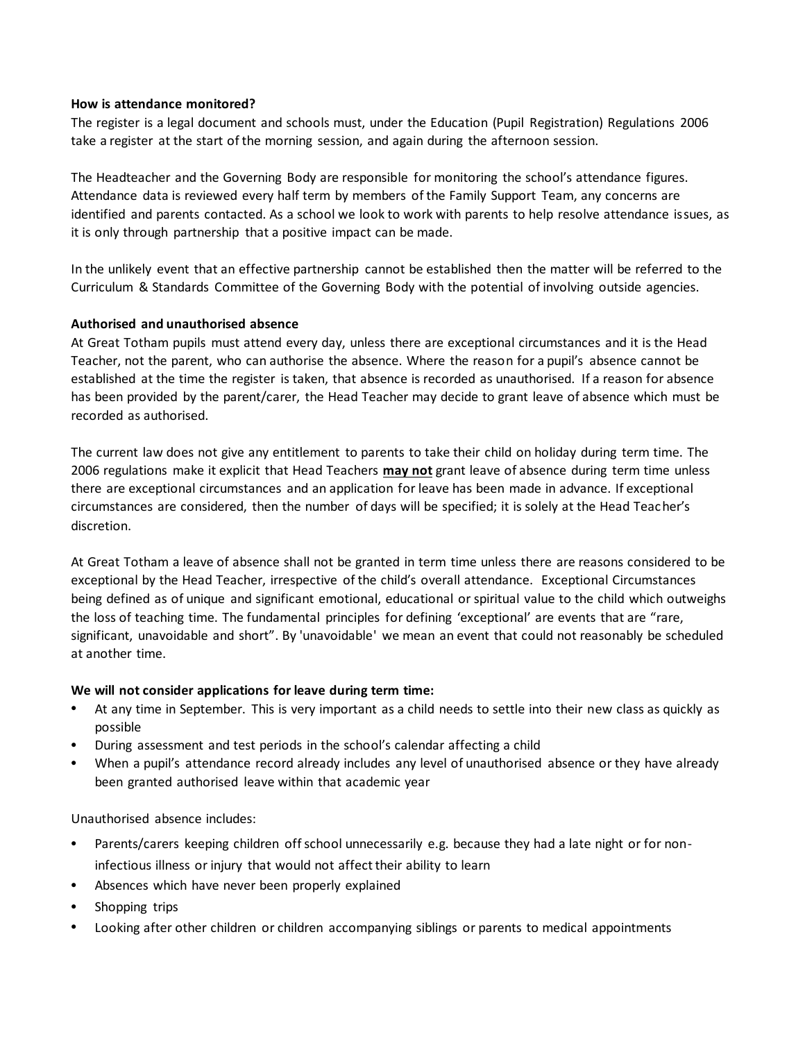#### **How is attendance monitored?**

The register is a legal document and schools must, under the Education (Pupil Registration) Regulations 2006 take a register at the start of the morning session, and again during the afternoon session.

The Headteacher and the Governing Body are responsible for monitoring the school's attendance figures. Attendance data is reviewed every half term by members of the Family Support Team, any concerns are identified and parents contacted. As a school we look to work with parents to help resolve attendance issues, as it is only through partnership that a positive impact can be made.

In the unlikely event that an effective partnership cannot be established then the matter will be referred to the Curriculum & Standards Committee of the Governing Body with the potential of involving outside agencies.

#### **Authorised and unauthorised absence**

At Great Totham pupils must attend every day, unless there are exceptional circumstances and it is the Head Teacher, not the parent, who can authorise the absence. Where the reason for a pupil's absence cannot be established at the time the register is taken, that absence is recorded as unauthorised. If a reason for absence has been provided by the parent/carer, the Head Teacher may decide to grant leave of absence which must be recorded as authorised.

The current law does not give any entitlement to parents to take their child on holiday during term time. The 2006 regulations make it explicit that Head Teachers **may not** grant leave of absence during term time unless there are exceptional circumstances and an application for leave has been made in advance. If exceptional circumstances are considered, then the number of days will be specified; it is solely at the Head Teacher's discretion.

At Great Totham a leave of absence shall not be granted in term time unless there are reasons considered to be exceptional by the Head Teacher, irrespective of the child's overall attendance. Exceptional Circumstances being defined as of unique and significant emotional, educational or spiritual value to the child which outweighs the loss of teaching time. The fundamental principles for defining 'exceptional' are events that are "rare, significant, unavoidable and short". By 'unavoidable' we mean an event that could not reasonably be scheduled at another time.

#### **We will not consider applications for leave during term time:**

- At any time in September. This is very important as a child needs to settle into their new class as quickly as possible
- During assessment and test periods in the school's calendar affecting a child
- When a pupil's attendance record already includes any level of unauthorised absence or they have already been granted authorised leave within that academic year

Unauthorised absence includes:

- Parents/carers keeping children off school unnecessarily e.g. because they had a late night or for noninfectious illness or injury that would not affect their ability to learn
- Absences which have never been properly explained
- Shopping trips
- Looking after other children or children accompanying siblings or parents to medical appointments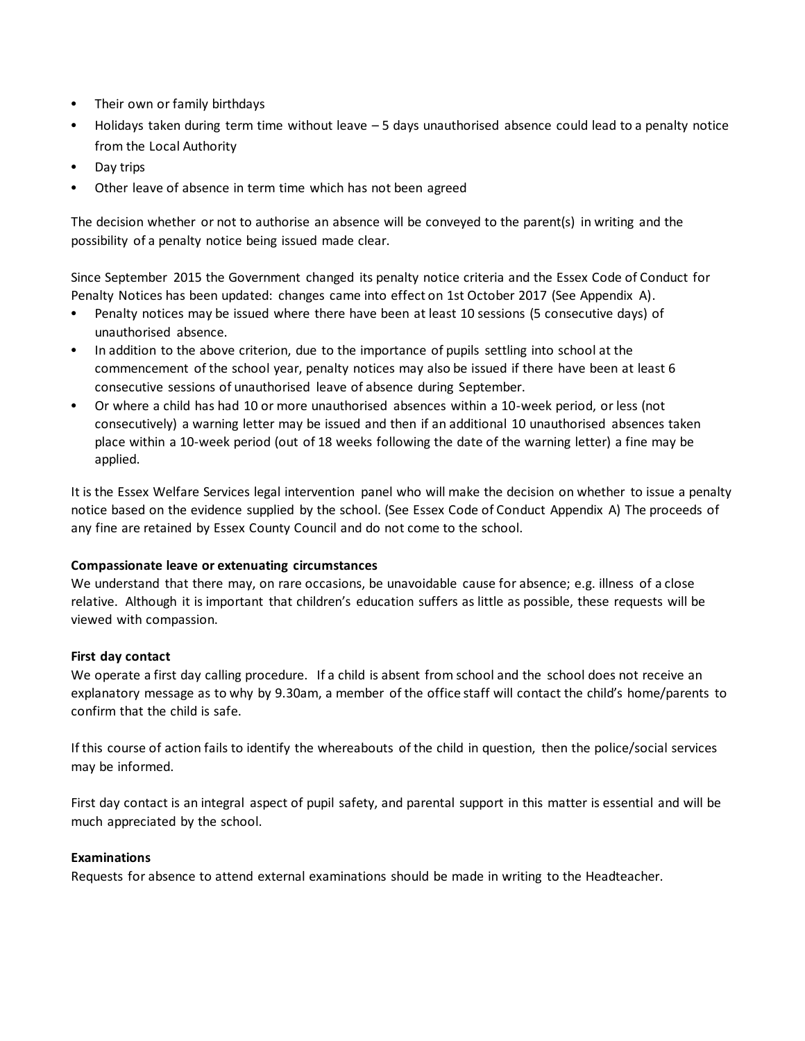- Their own or family birthdays
- Holidays taken during term time without leave 5 days unauthorised absence could lead to a penalty notice from the Local Authority
- Day trips
- Other leave of absence in term time which has not been agreed

The decision whether or not to authorise an absence will be conveyed to the parent(s) in writing and the possibility of a penalty notice being issued made clear.

Since September 2015 the Government changed its penalty notice criteria and the Essex Code of Conduct for Penalty Notices has been updated: changes came into effect on 1st October 2017 (See Appendix A).

- Penalty notices may be issued where there have been at least 10 sessions (5 consecutive days) of unauthorised absence.
- In addition to the above criterion, due to the importance of pupils settling into school at the commencement of the school year, penalty notices may also be issued if there have been at least 6 consecutive sessions of unauthorised leave of absence during September.
- Or where a child has had 10 or more unauthorised absences within a 10-week period, or less (not consecutively) a warning letter may be issued and then if an additional 10 unauthorised absences taken place within a 10-week period (out of 18 weeks following the date of the warning letter) a fine may be applied.

It is the Essex Welfare Services legal intervention panel who will make the decision on whether to issue a penalty notice based on the evidence supplied by the school. (See Essex Code of Conduct Appendix A) The proceeds of any fine are retained by Essex County Council and do not come to the school.

### **Compassionate leave or extenuating circumstances**

We understand that there may, on rare occasions, be unavoidable cause for absence; e.g. illness of a close relative. Although it is important that children's education suffers as little as possible, these requests will be viewed with compassion.

### **First day contact**

We operate a first day calling procedure. If a child is absent from school and the school does not receive an explanatory message as to why by 9.30am, a member of the office staff will contact the child's home/parents to confirm that the child is safe.

If this course of action fails to identify the whereabouts of the child in question, then the police/social services may be informed.

First day contact is an integral aspect of pupil safety, and parental support in this matter is essential and will be much appreciated by the school.

#### **Examinations**

Requests for absence to attend external examinations should be made in writing to the Headteacher.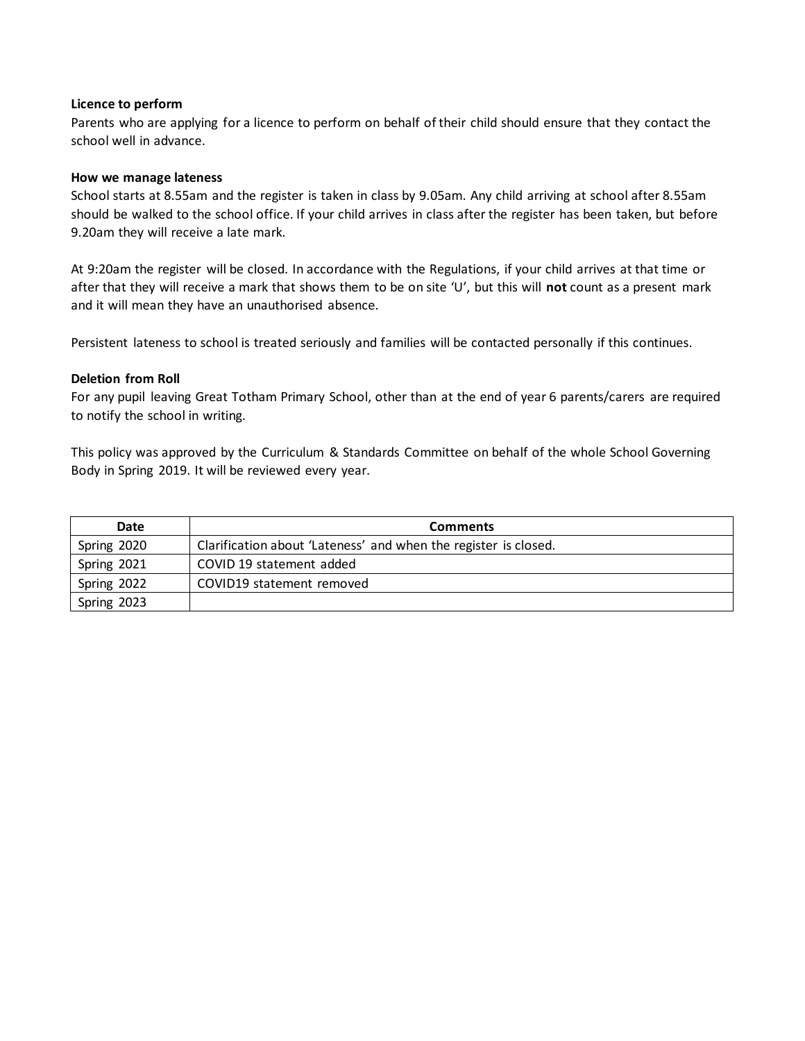#### **Licence to perform**

Parents who are applying for a licence to perform on behalf of their child should ensure that they contact the school well in advance.

#### **How we manage lateness**

School starts at 8.55am and the register is taken in class by 9.05am. Any child arriving at school after 8.55am should be walked to the school office. If your child arrives in class after the register has been taken, but before 9.20am they will receive a late mark.

At 9:20am the register will be closed. In accordance with the Regulations, if your child arrives at that time or after that they will receive a mark that shows them to be on site 'U', but this will **not** count as a present mark and it will mean they have an unauthorised absence.

Persistent lateness to school is treated seriously and families will be contacted personally if this continues.

#### **Deletion from Roll**

For any pupil leaving Great Totham Primary School, other than at the end of year 6 parents/carers are required to notify the school in writing.

This policy was approved by the Curriculum & Standards Committee on behalf of the whole School Governing Body in Spring 2019. It will be reviewed every year.

| Date        | <b>Comments</b>                                                 |
|-------------|-----------------------------------------------------------------|
| Spring 2020 | Clarification about 'Lateness' and when the register is closed. |
| Spring 2021 | COVID 19 statement added                                        |
| Spring 2022 | COVID19 statement removed                                       |
| Spring 2023 |                                                                 |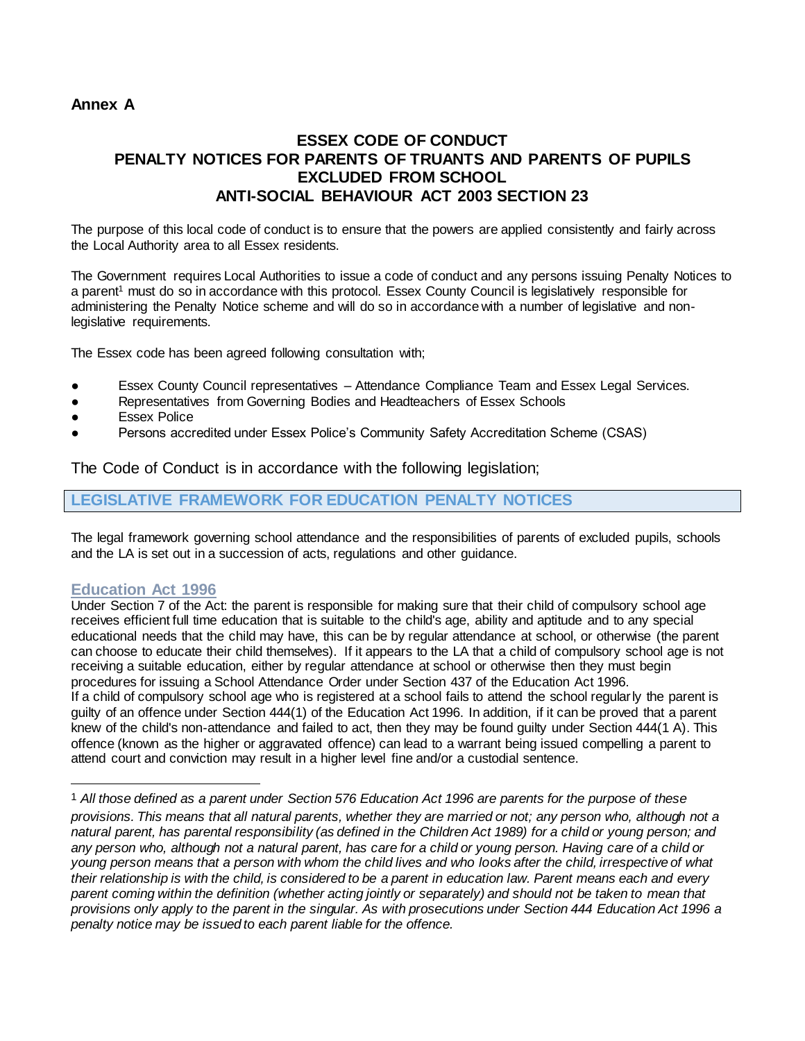# **Annex A**

# **ESSEX CODE OF CONDUCT PENALTY NOTICES FOR PARENTS OF TRUANTS AND PARENTS OF PUPILS EXCLUDED FROM SCHOOL ANTI-SOCIAL BEHAVIOUR ACT 2003 SECTION 23**

The purpose of this local code of conduct is to ensure that the powers are applied consistently and fairly across the Local Authority area to all Essex residents.

The Government requires Local Authorities to issue a code of conduct and any persons issuing Penalty Notices to a parent<sup>1</sup> must do so in accordance with this protocol. Essex County Council is legislatively responsible for administering the Penalty Notice scheme and will do so in accordance with a number of legislative and nonlegislative requirements.

The Essex code has been agreed following consultation with;

- Essex County Council representatives Attendance Compliance Team and Essex Legal Services.
- Representatives from Governing Bodies and Headteachers of Essex Schools
- **Essex Police**
- Persons accredited under Essex Police's Community Safety Accreditation Scheme (CSAS)

The Code of Conduct is in accordance with the following legislation;

## **LEGISLATIVE FRAMEWORK FOR EDUCATION PENALTY NOTICES**

The legal framework governing school attendance and the responsibilities of parents of excluded pupils, schools and the LA is set out in a succession of acts, regulations and other guidance.

### **Education Act 1996**

l

Under Section 7 of the Act: the parent is responsible for making sure that their child of compulsory school age receives efficient full time education that is suitable to the child's age, ability and aptitude and to any special educational needs that the child may have, this can be by regular attendance at school, or otherwise (the parent can choose to educate their child themselves). If it appears to the LA that a child of compulsory school age is not receiving a suitable education, either by regular attendance at school or otherwise then they must begin procedures for issuing a School Attendance Order under Section 437 of the Education Act 1996. If a child of compulsory school age who is registered at a school fails to attend the school regularly the parent is guilty of an offence under Section 444(1) of the Education Act 1996. In addition, if it can be proved that a parent knew of the child's non-attendance and failed to act, then they may be found guilty under Section 444(1 A). This offence (known as the higher or aggravated offence) can lead to a warrant being issued compelling a parent to attend court and conviction may result in a higher level fine and/or a custodial sentence.

<sup>1</sup> *All those defined as a parent under Section 576 Education Act 1996 are parents for the purpose of these provisions. This means that all natural parents, whether they are married or not; any person who, although not a natural parent, has parental responsibility (as defined in the Children Act 1989) for a child or young person; and any person who, although not a natural parent, has care for a child or young person. Having care of a child or young person means that a person with whom the child lives and who looks after the child, irrespective of what their relationship is with the child, is considered to be a parent in education law. Parent means each and every parent coming within the definition (whether acting jointly or separately) and should not be taken to mean that provisions only apply to the parent in the singular. As with prosecutions under Section 444 Education Act 1996 a penalty notice may be issued to each parent liable for the offence.*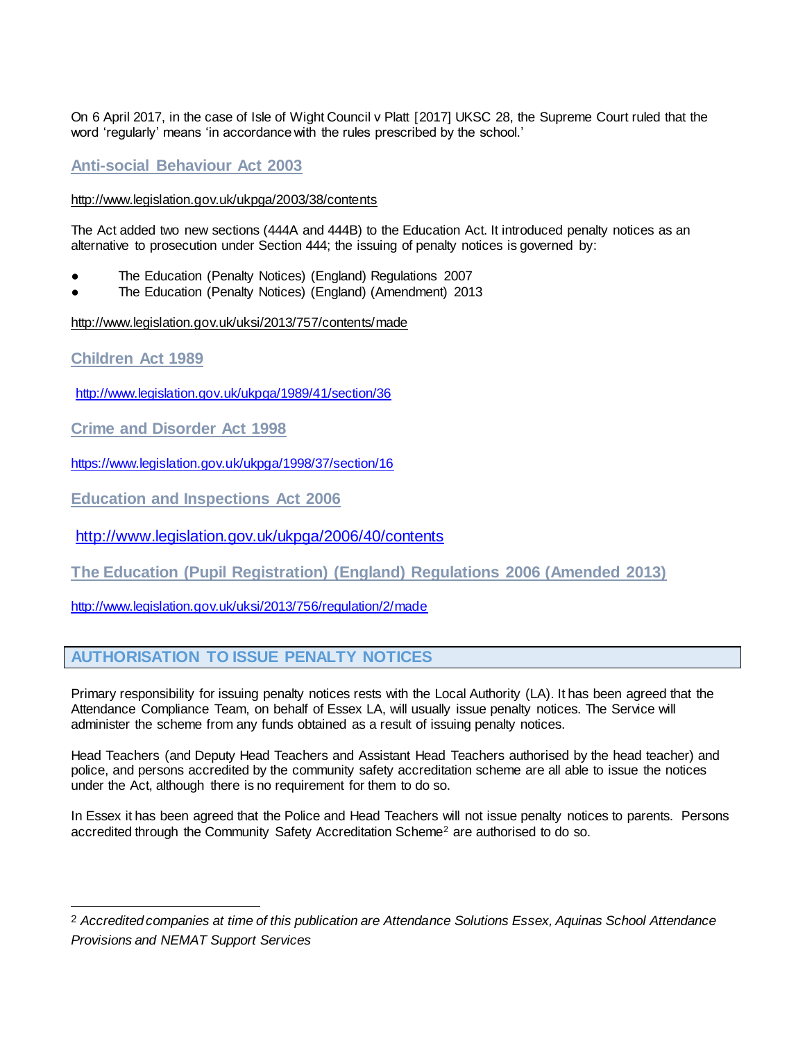On 6 April 2017, in the case of Isle of Wight Council v Platt [2017] UKSC 28, the Supreme Court ruled that the word 'regularly' means 'in accordance with the rules prescribed by the school.'

# **Anti-social Behaviour Act 2003**

#### <http://www.legislation.gov.uk/ukpga/2003/38/contents>

The Act added two new sections (444A and 444B) to the Education Act. It introduced penalty notices as an alternative to prosecution under Section 444; the issuing of penalty notices is governed by:

- The Education (Penalty Notices) (England) Regulations 2007
- The Education (Penalty Notices) (England) (Amendment) 2013

<http://www.legislation.gov.uk/uksi/2013/757/contents/made>

**Children Act 1989** 

l

<http://www.legislation.gov.uk/ukpga/1989/41/section/36>

**Crime and Disorder Act 1998** 

<https://www.legislation.gov.uk/ukpga/1998/37/section/16>

**Education and Inspections Act 2006** 

<http://www.legislation.gov.uk/ukpga/2006/40/contents>

**The Education (Pupil Registration) (England) Regulations 2006 (Amended 2013)**

<http://www.legislation.gov.uk/uksi/2013/756/regulation/2/made>

## **AUTHORISATION TO ISSUE PENALTY NOTICES**

Primary responsibility for issuing penalty notices rests with the Local Authority (LA). It has been agreed that the Attendance Compliance Team, on behalf of Essex LA, will usually issue penalty notices. The Service will administer the scheme from any funds obtained as a result of issuing penalty notices.

Head Teachers (and Deputy Head Teachers and Assistant Head Teachers authorised by the head teacher) and police, and persons accredited by the community safety accreditation scheme are all able to issue the notices under the Act, although there is no requirement for them to do so.

In Essex it has been agreed that the Police and Head Teachers will not issue penalty notices to parents. Persons accredited through the Community Safety Accreditation Scheme<sup>2</sup> are authorised to do so.

<sup>2</sup> *Accredited companies at time of this publication are Attendance Solutions Essex, Aquinas School Attendance Provisions and NEMAT Support Services*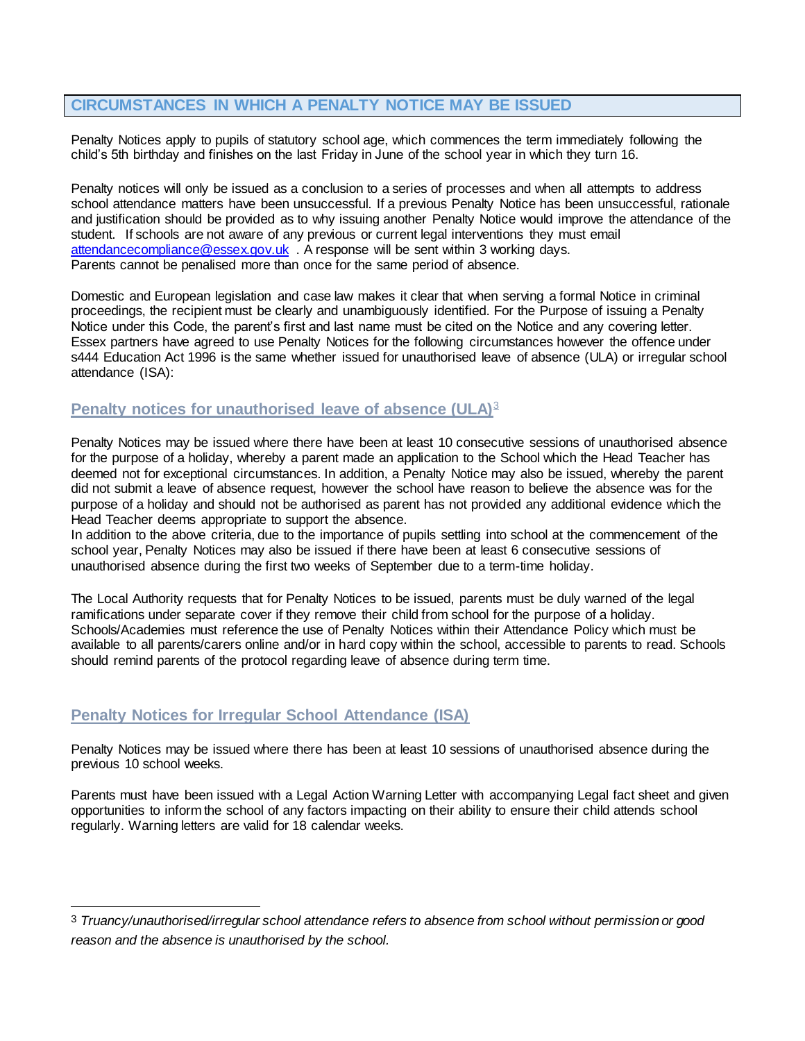# **CIRCUMSTANCES IN WHICH A PENALTY NOTICE MAY BE ISSUED**

Penalty Notices apply to pupils of statutory school age, which commences the term immediately following the child's 5th birthday and finishes on the last Friday in June of the school year in which they turn 16.

Penalty notices will only be issued as a conclusion to a series of processes and when all attempts to address school attendance matters have been unsuccessful. If a previous Penalty Notice has been unsuccessful, rationale and justification should be provided as to why issuing another Penalty Notice would improve the attendance of the student. If schools are not aware of any previous or current legal interventions they must email [attendancecompliance@essex.gov.uk](mailto:attendancecompliance@essex.gov.uk) . A response will be sent within 3 working days. Parents cannot be penalised more than once for the same period of absence.

Domestic and European legislation and case law makes it clear that when serving a formal Notice in criminal proceedings, the recipient must be clearly and unambiguously identified. For the Purpose of issuing a Penalty Notice under this Code, the parent's first and last name must be cited on the Notice and any covering letter. Essex partners have agreed to use Penalty Notices for the following circumstances however the offence under s444 Education Act 1996 is the same whether issued for unauthorised leave of absence (ULA) or irregular school attendance (ISA):

## **Penalty notices for unauthorised leave of absence (ULA)**<sup>3</sup>

Penalty Notices may be issued where there have been at least 10 consecutive sessions of unauthorised absence for the purpose of a holiday, whereby a parent made an application to the School which the Head Teacher has deemed not for exceptional circumstances. In addition, a Penalty Notice may also be issued, whereby the parent did not submit a leave of absence request, however the school have reason to believe the absence was for the purpose of a holiday and should not be authorised as parent has not provided any additional evidence which the Head Teacher deems appropriate to support the absence.

In addition to the above criteria, due to the importance of pupils settling into school at the commencement of the school year, Penalty Notices may also be issued if there have been at least 6 consecutive sessions of unauthorised absence during the first two weeks of September due to a term-time holiday.

The Local Authority requests that for Penalty Notices to be issued, parents must be duly warned of the legal ramifications under separate cover if they remove their child from school for the purpose of a holiday. Schools/Academies must reference the use of Penalty Notices within their Attendance Policy which must be available to all parents/carers online and/or in hard copy within the school, accessible to parents to read. Schools should remind parents of the protocol regarding leave of absence during term time.

## **Penalty Notices for Irregular School Attendance (ISA)**

l

Penalty Notices may be issued where there has been at least 10 sessions of unauthorised absence during the previous 10 school weeks.

Parents must have been issued with a Legal Action Warning Letter with accompanying Legal fact sheet and given opportunities to inform the school of any factors impacting on their ability to ensure their child attends school regularly. Warning letters are valid for 18 calendar weeks.

<sup>3</sup> *Truancy/unauthorised/irregular school attendance refers to absence from school without permission or good reason and the absence is unauthorised by the school.*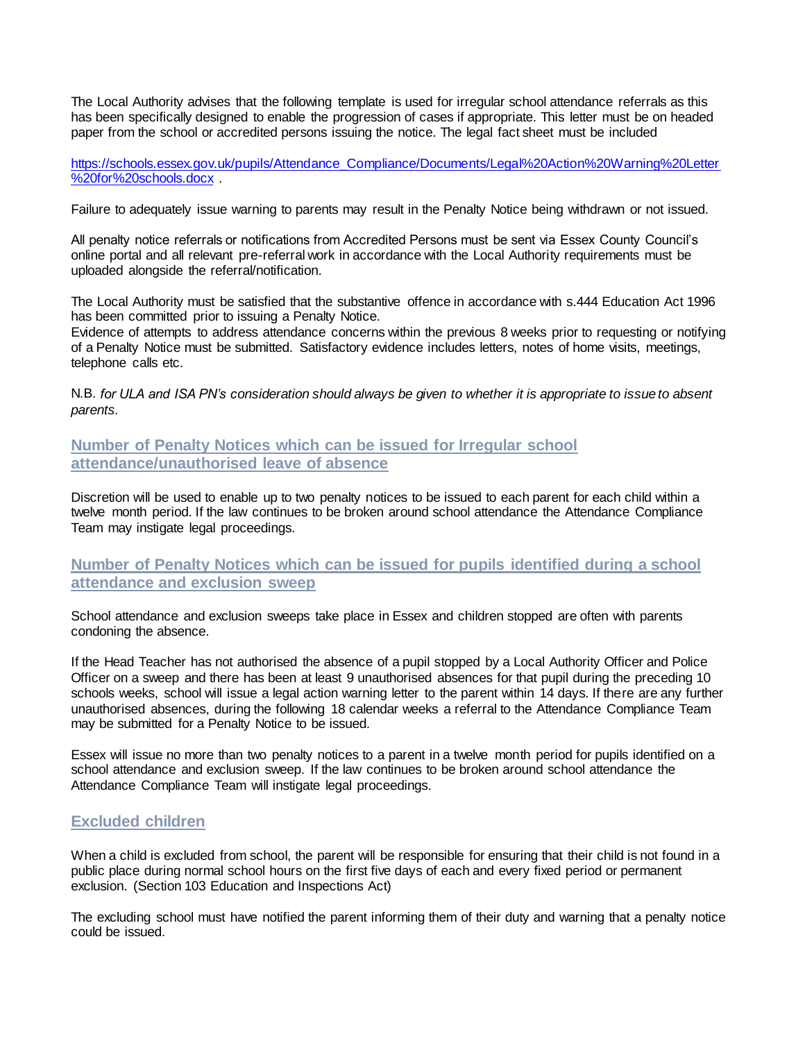The Local Authority advises that the following template is used for irregular school attendance referrals as this has been specifically designed to enable the progression of cases if appropriate. This letter must be on headed paper from the school or accredited persons issuing the notice. The legal fact sheet must be included

[https://schools.essex.gov.uk/pupils/Attendance\\_Compliance/Documents/Legal%20Action%20Warning%20Letter](https://schools.essex.gov.uk/pupils/Attendance_Compliance/Documents/Legal%20Action%20Warning%20Letter%20for%20schools.docx) [%20for%20schools.docx](https://schools.essex.gov.uk/pupils/Attendance_Compliance/Documents/Legal%20Action%20Warning%20Letter%20for%20schools.docx) .

Failure to adequately issue warning to parents may result in the Penalty Notice being withdrawn or not issued.

All penalty notice referrals or notifications from Accredited Persons must be sent via Essex County Council's online portal and all relevant pre-referral work in accordance with the Local Authority requirements must be uploaded alongside the referral/notification.

The Local Authority must be satisfied that the substantive offence in accordance with s.444 Education Act 1996 has been committed prior to issuing a Penalty Notice.

Evidence of attempts to address attendance concerns within the previous 8 weeks prior to requesting or notifying of a Penalty Notice must be submitted. Satisfactory evidence includes letters, notes of home visits, meetings, telephone calls etc.

N.B. *for ULA and ISA PN's consideration should always be given to whether it is appropriate to issue to absent parents.*

**Number of Penalty Notices which can be issued for Irregular school attendance/unauthorised leave of absence**

Discretion will be used to enable up to two penalty notices to be issued to each parent for each child within a twelve month period. If the law continues to be broken around school attendance the Attendance Compliance Team may instigate legal proceedings.

**Number of Penalty Notices which can be issued for pupils identified during a school attendance and exclusion sweep** 

School attendance and exclusion sweeps take place in Essex and children stopped are often with parents condoning the absence.

If the Head Teacher has not authorised the absence of a pupil stopped by a Local Authority Officer and Police Officer on a sweep and there has been at least 9 unauthorised absences for that pupil during the preceding 10 schools weeks, school will issue a legal action warning letter to the parent within 14 days. If there are any further unauthorised absences, during the following 18 calendar weeks a referral to the Attendance Compliance Team may be submitted for a Penalty Notice to be issued.

Essex will issue no more than two penalty notices to a parent in a twelve month period for pupils identified on a school attendance and exclusion sweep. If the law continues to be broken around school attendance the Attendance Compliance Team will instigate legal proceedings.

## **Excluded children**

When a child is excluded from school, the parent will be responsible for ensuring that their child is not found in a public place during normal school hours on the first five days of each and every fixed period or permanent exclusion. (Section 103 Education and Inspections Act)

The excluding school must have notified the parent informing them of their duty and warning that a penalty notice could be issued.